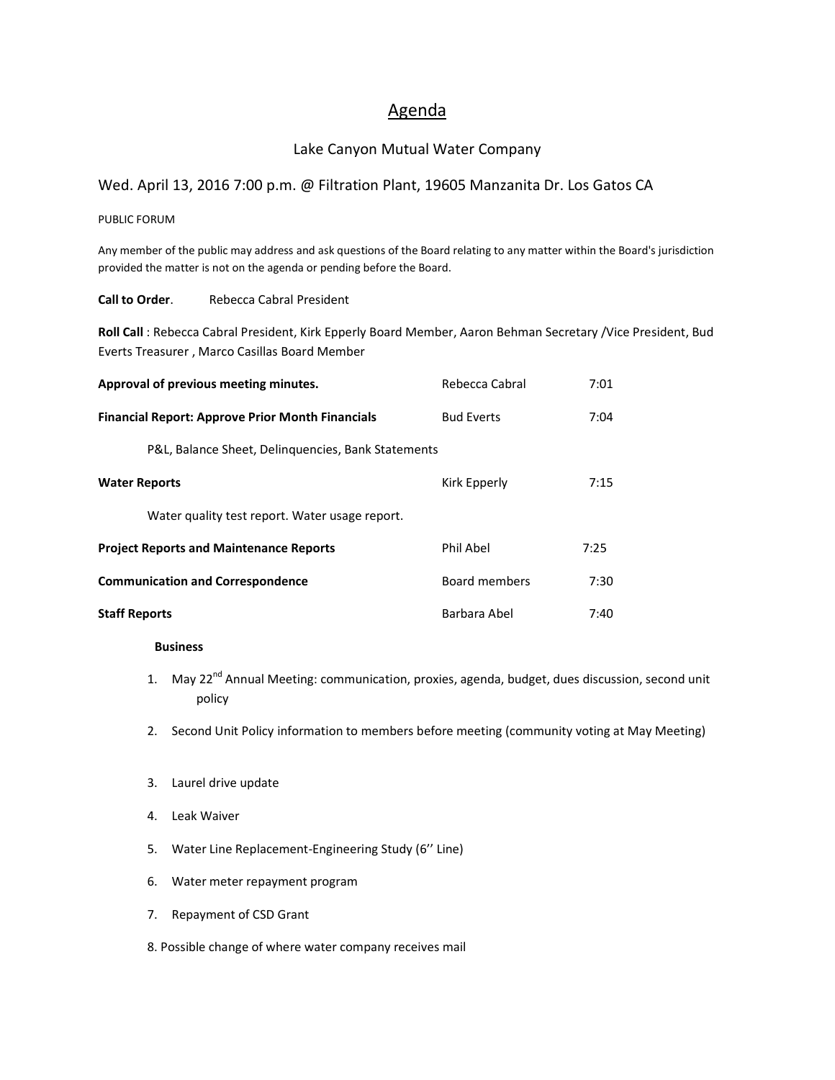## Agenda

## Lake Canyon Mutual Water Company

## Wed. April 13, 2016 7:00 p.m. @ Filtration Plant, 19605 Manzanita Dr. Los Gatos CA

PUBLIC FORUM

Any member of the public may address and ask questions of the Board relating to any matter within the Board's jurisdiction provided the matter is not on the agenda or pending before the Board.

**Call to Order.** Rebecca Cabral President

**Roll Call** : Rebecca Cabral President, Kirk Epperly Board Member, Aaron Behman Secretary /Vice President, Bud Everts Treasurer , Marco Casillas Board Member

| Approval of previous meeting minutes.                   | Rebecca Cabral    | 7:01 |
|---------------------------------------------------------|-------------------|------|
| <b>Financial Report: Approve Prior Month Financials</b> | <b>Bud Everts</b> | 7:04 |
| P&L, Balance Sheet, Delinguencies, Bank Statements      |                   |      |
| <b>Water Reports</b>                                    | Kirk Epperly      | 7:15 |
| Water quality test report. Water usage report.          |                   |      |
| <b>Project Reports and Maintenance Reports</b>          | Phil Abel         | 7:25 |
| <b>Communication and Correspondence</b>                 | Board members     | 7:30 |
| <b>Staff Reports</b>                                    | Barbara Abel      | 7:40 |

## **Business**

- 1. May 22<sup>nd</sup> Annual Meeting: communication, proxies, agenda, budget, dues discussion, second unit policy
- 2. Second Unit Policy information to members before meeting (community voting at May Meeting)
- 3. Laurel drive update
- 4. Leak Waiver
- 5. Water Line Replacement-Engineering Study (6'' Line)
- 6. Water meter repayment program
- 7. Repayment of CSD Grant

8. Possible change of where water company receives mail